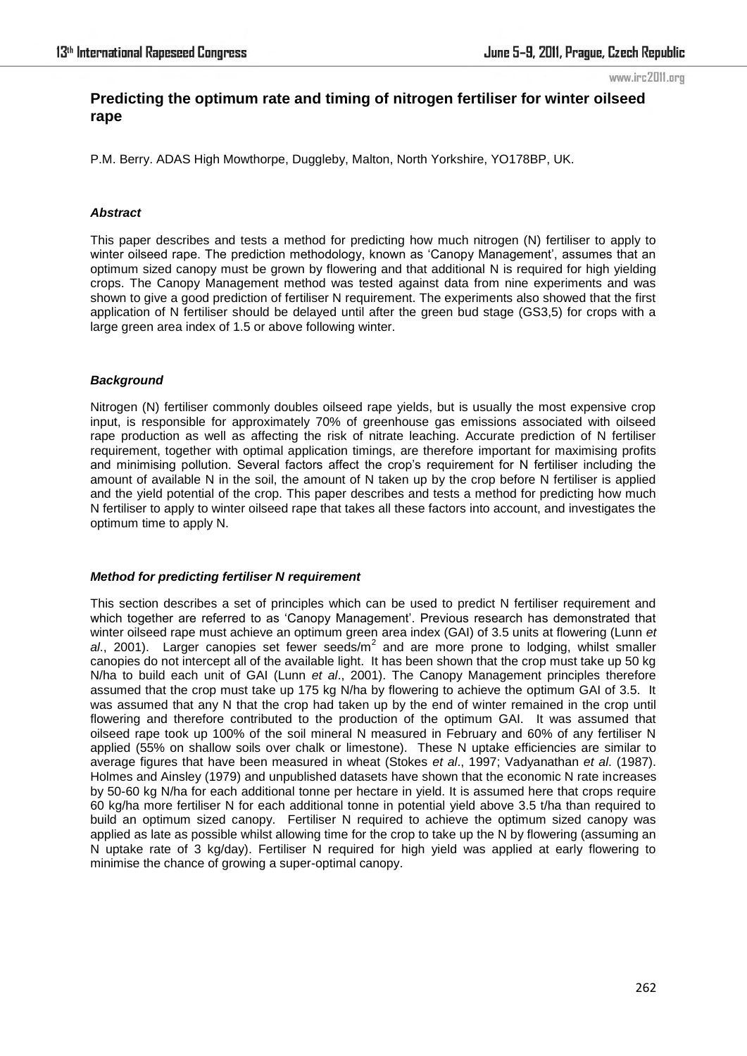#### www.irc2011.org

# **Predicting the optimum rate and timing of nitrogen fertiliser for winter oilseed rape**

P.M. Berry. ADAS High Mowthorpe, Duggleby, Malton, North Yorkshire, YO178BP, UK.

# *Abstract*

This paper describes and tests a method for predicting how much nitrogen (N) fertiliser to apply to winter oilseed rape. The prediction methodology, known as 'Canopy Management', assumes that an optimum sized canopy must be grown by flowering and that additional N is required for high yielding crops. The Canopy Management method was tested against data from nine experiments and was shown to give a good prediction of fertiliser N requirement. The experiments also showed that the first application of N fertiliser should be delayed until after the green bud stage (GS3,5) for crops with a large green area index of 1.5 or above following winter.

# *Background*

Nitrogen (N) fertiliser commonly doubles oilseed rape yields, but is usually the most expensive crop input, is responsible for approximately 70% of greenhouse gas emissions associated with oilseed rape production as well as affecting the risk of nitrate leaching. Accurate prediction of N fertiliser requirement, together with optimal application timings, are therefore important for maximising profits and minimising pollution. Several factors affect the crop's requirement for N fertiliser including the amount of available N in the soil, the amount of N taken up by the crop before N fertiliser is applied and the yield potential of the crop. This paper describes and tests a method for predicting how much N fertiliser to apply to winter oilseed rape that takes all these factors into account, and investigates the optimum time to apply N.

#### *Method for predicting fertiliser N requirement*

This section describes a set of principles which can be used to predict N fertiliser requirement and which together are referred to as 'Canopy Management'. Previous research has demonstrated that winter oilseed rape must achieve an optimum green area index (GAI) of 3.5 units at flowering (Lunn *et*  al., 2001). Larger canopies set fewer seeds/m<sup>2</sup> and are more prone to lodging, whilst smaller canopies do not intercept all of the available light. It has been shown that the crop must take up 50 kg N/ha to build each unit of GAI (Lunn *et al*., 2001). The Canopy Management principles therefore assumed that the crop must take up 175 kg N/ha by flowering to achieve the optimum GAI of 3.5. It was assumed that any N that the crop had taken up by the end of winter remained in the crop until flowering and therefore contributed to the production of the optimum GAI. It was assumed that oilseed rape took up 100% of the soil mineral N measured in February and 60% of any fertiliser N applied (55% on shallow soils over chalk or limestone). These N uptake efficiencies are similar to average figures that have been measured in wheat (Stokes *et al*., 1997; Vadyanathan *et al*. (1987). Holmes and Ainsley (1979) and unpublished datasets have shown that the economic N rate increases by 50-60 kg N/ha for each additional tonne per hectare in yield. It is assumed here that crops require 60 kg/ha more fertiliser N for each additional tonne in potential yield above 3.5 t/ha than required to build an optimum sized canopy. Fertiliser N required to achieve the optimum sized canopy was applied as late as possible whilst allowing time for the crop to take up the N by flowering (assuming an N uptake rate of 3 kg/day). Fertiliser N required for high yield was applied at early flowering to minimise the chance of growing a super-optimal canopy.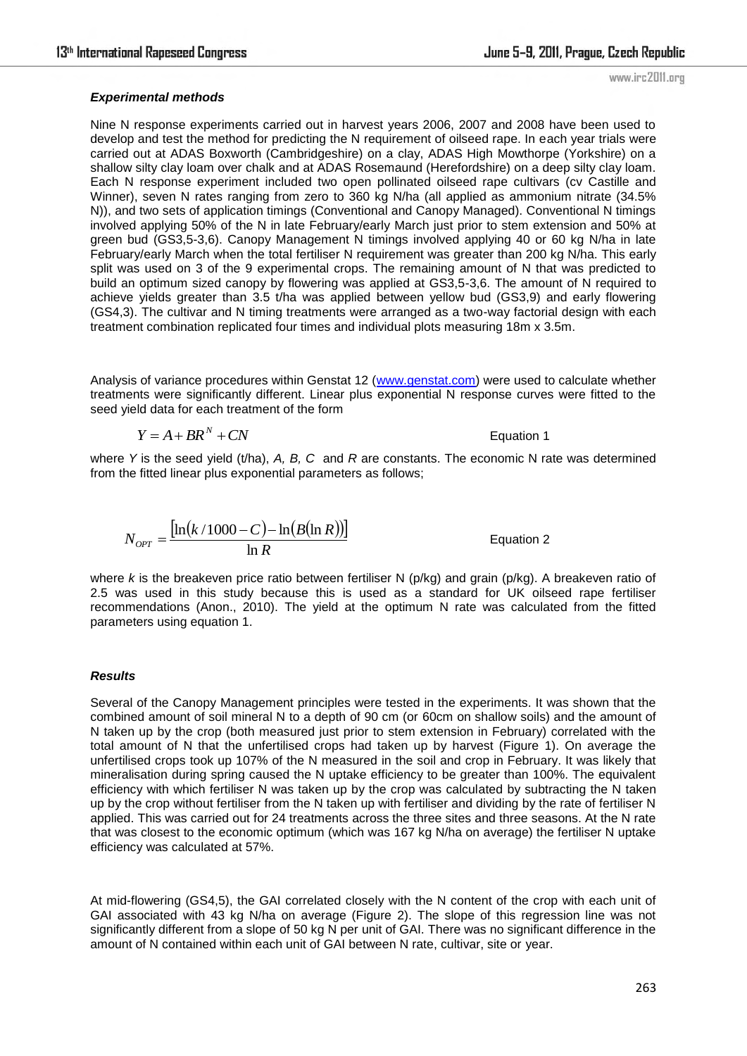www.irc2011.org

### *Experimental methods*

Nine N response experiments carried out in harvest years 2006, 2007 and 2008 have been used to develop and test the method for predicting the N requirement of oilseed rape. In each year trials were carried out at ADAS Boxworth (Cambridgeshire) on a clay, ADAS High Mowthorpe (Yorkshire) on a shallow silty clay loam over chalk and at ADAS Rosemaund (Herefordshire) on a deep silty clay loam. Each N response experiment included two open pollinated oilseed rape cultivars (cv Castille and Winner), seven N rates ranging from zero to 360 kg N/ha (all applied as ammonium nitrate (34.5% N)), and two sets of application timings (Conventional and Canopy Managed). Conventional N timings involved applying 50% of the N in late February/early March just prior to stem extension and 50% at green bud (GS3,5-3,6). Canopy Management N timings involved applying 40 or 60 kg N/ha in late February/early March when the total fertiliser N requirement was greater than 200 kg N/ha. This early split was used on 3 of the 9 experimental crops. The remaining amount of N that was predicted to build an optimum sized canopy by flowering was applied at GS3,5-3,6. The amount of N required to achieve yields greater than 3.5 t/ha was applied between yellow bud (GS3,9) and early flowering (GS4,3). The cultivar and N timing treatments were arranged as a two-way factorial design with each treatment combination replicated four times and individual plots measuring 18m x 3.5m.

Analysis of variance procedures within Genstat 12 [\(www.genstat.com\)](http://www.genstat.com/) were used to calculate whether treatments were significantly different. Linear plus exponential N response curves were fitted to the seed yield data for each treatment of the form

$$
Y = A + BR^N + CN
$$

Equation 1

where *Y* is the seed yield (t/ha), *A, B, C* and *R* are constants. The economic N rate was determined from the fitted linear plus exponential parameters as follows;

$$
N_{OPT} = \frac{\left[\ln\left(k/1000 - C\right) - \ln\left(B(\ln R)\right)\right]}{\ln R}
$$

Equation 2

where *k* is the breakeven price ratio between fertiliser N (p/kg) and grain (p/kg). A breakeven ratio of 2.5 was used in this study because this is used as a standard for UK oilseed rape fertiliser recommendations (Anon., 2010). The yield at the optimum N rate was calculated from the fitted parameters using equation 1.

# *Results*

Several of the Canopy Management principles were tested in the experiments. It was shown that the combined amount of soil mineral N to a depth of 90 cm (or 60cm on shallow soils) and the amount of N taken up by the crop (both measured just prior to stem extension in February) correlated with the total amount of N that the unfertilised crops had taken up by harvest (Figure 1). On average the unfertilised crops took up 107% of the N measured in the soil and crop in February. It was likely that mineralisation during spring caused the N uptake efficiency to be greater than 100%. The equivalent efficiency with which fertiliser N was taken up by the crop was calculated by subtracting the N taken up by the crop without fertiliser from the N taken up with fertiliser and dividing by the rate of fertiliser N applied. This was carried out for 24 treatments across the three sites and three seasons. At the N rate that was closest to the economic optimum (which was 167 kg N/ha on average) the fertiliser N uptake efficiency was calculated at 57%.

At mid-flowering (GS4,5), the GAI correlated closely with the N content of the crop with each unit of GAI associated with 43 kg N/ha on average (Figure 2). The slope of this regression line was not significantly different from a slope of 50 kg N per unit of GAI. There was no significant difference in the amount of N contained within each unit of GAI between N rate, cultivar, site or year.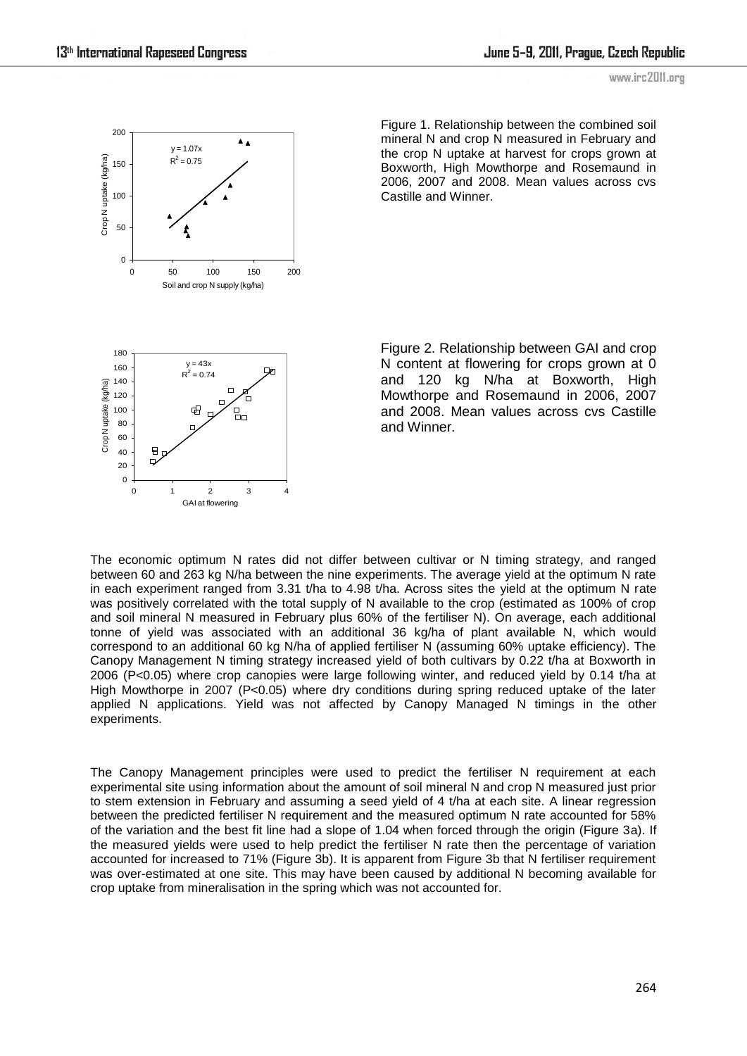

Figure 1. Relationship between the combined soil mineral N and crop N measured in February and the crop N uptake at harvest for crops grown at Boxworth, High Mowthorpe and Rosemaund in 2006, 2007 and 2008. Mean values across cvs Castille and Winner.

Figure 2. Relationship between GAI and crop N content at flowering for crops grown at 0 and 120 kg N/ha at Boxworth, High Mowthorpe and Rosemaund in 2006, 2007 and 2008. Mean values across cvs Castille and Winner.

The economic optimum N rates did not differ between cultivar or N timing strategy, and ranged between 60 and 263 kg N/ha between the nine experiments. The average yield at the optimum N rate in each experiment ranged from 3.31 t/ha to 4.98 t/ha. Across sites the yield at the optimum N rate was positively correlated with the total supply of N available to the crop (estimated as 100% of crop and soil mineral N measured in February plus 60% of the fertiliser N). On average, each additional tonne of yield was associated with an additional 36 kg/ha of plant available N, which would correspond to an additional 60 kg N/ha of applied fertiliser N (assuming 60% uptake efficiency). The Canopy Management N timing strategy increased yield of both cultivars by 0.22 t/ha at Boxworth in 2006 (P<0.05) where crop canopies were large following winter, and reduced yield by 0.14 t/ha at High Mowthorpe in 2007 (P<0.05) where dry conditions during spring reduced uptake of the later applied N applications. Yield was not affected by Canopy Managed N timings in the other experiments.

The Canopy Management principles were used to predict the fertiliser N requirement at each experimental site using information about the amount of soil mineral N and crop N measured just prior to stem extension in February and assuming a seed yield of 4 t/ha at each site. A linear regression between the predicted fertiliser N requirement and the measured optimum N rate accounted for 58% of the variation and the best fit line had a slope of 1.04 when forced through the origin (Figure 3a). If the measured yields were used to help predict the fertiliser N rate then the percentage of variation accounted for increased to 71% (Figure 3b). It is apparent from Figure 3b that N fertiliser requirement was over-estimated at one site. This may have been caused by additional N becoming available for crop uptake from mineralisation in the spring which was not accounted for.